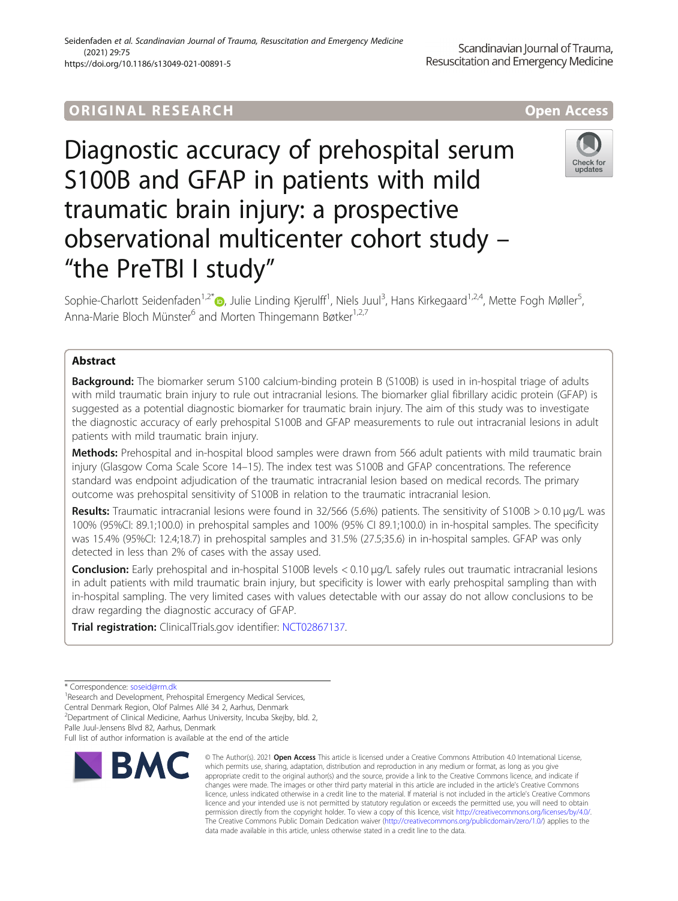# ORIGINA L R E S EA RCH Open Access

Diagnostic accuracy of prehospital serum S100B and GFAP in patients with mild traumatic brain injury: a prospective observational multicenter cohort study – "the PreTBI I study"

Sophie-Charlott Seidenfaden<sup>1,2[\\*](http://orcid.org/0000-0002-5700-9589)</sup>®, Julie Linding Kjerulff<sup>1</sup>, Niels Juul<sup>3</sup>, Hans Kirkegaard<sup>1,2,4</sup>, Mette Fogh Møller<sup>5</sup> , Anna-Marie Bloch Münster<sup>6</sup> and Morten Thingemann Bøtker<sup>1,2,7</sup>

# Abstract

**Background:** The biomarker serum S100 calcium-binding protein B (S100B) is used in in-hospital triage of adults with mild traumatic brain injury to rule out intracranial lesions. The biomarker glial fibrillary acidic protein (GFAP) is suggested as a potential diagnostic biomarker for traumatic brain injury. The aim of this study was to investigate the diagnostic accuracy of early prehospital S100B and GFAP measurements to rule out intracranial lesions in adult patients with mild traumatic brain injury.

Methods: Prehospital and in-hospital blood samples were drawn from 566 adult patients with mild traumatic brain injury (Glasgow Coma Scale Score 14–15). The index test was S100B and GFAP concentrations. The reference standard was endpoint adjudication of the traumatic intracranial lesion based on medical records. The primary outcome was prehospital sensitivity of S100B in relation to the traumatic intracranial lesion.

Results: Traumatic intracranial lesions were found in 32/566 (5.6%) patients. The sensitivity of S100B > 0.10 μg/L was 100% (95%CI: 89.1;100.0) in prehospital samples and 100% (95% CI 89.1;100.0) in in-hospital samples. The specificity was 15.4% (95%CI: 12.4;18.7) in prehospital samples and 31.5% (27.5;35.6) in in-hospital samples. GFAP was only detected in less than 2% of cases with the assay used.

Conclusion: Early prehospital and in-hospital S100B levels < 0.10 µg/L safely rules out traumatic intracranial lesions in adult patients with mild traumatic brain injury, but specificity is lower with early prehospital sampling than with in-hospital sampling. The very limited cases with values detectable with our assay do not allow conclusions to be draw regarding the diagnostic accuracy of GFAP.

Trial registration: ClinicalTrials.gov identifier: [NCT02867137](https://ClinicalTrials.gov/ct2/show/NCT02867137).

changes were made. The images or other third party material in this article are included in the article's Creative Commons licence, unless indicated otherwise in a credit line to the material. If material is not included in the article's Creative Commons licence and your intended use is not permitted by statutory regulation or exceeds the permitted use, you will need to obtain permission directly from the copyright holder. To view a copy of this licence, visit [http://creativecommons.org/licenses/by/4.0/.](http://creativecommons.org/licenses/by/4.0/) The Creative Commons Public Domain Dedication waiver [\(http://creativecommons.org/publicdomain/zero/1.0/](http://creativecommons.org/publicdomain/zero/1.0/)) applies to the data made available in this article, unless otherwise stated in a credit line to the data.

© The Author(s), 2021 **Open Access** This article is licensed under a Creative Commons Attribution 4.0 International License, which permits use, sharing, adaptation, distribution and reproduction in any medium or format, as long as you give appropriate credit to the original author(s) and the source, provide a link to the Creative Commons licence, and indicate if







<sup>\*</sup> Correspondence: [soseid@rm.dk](mailto:soseid@rm.dk) <sup>1</sup>

<sup>&</sup>lt;sup>1</sup>Research and Development, Prehospital Emergency Medical Services,

Central Denmark Region, Olof Palmes Allé 34 2, Aarhus, Denmark

<sup>&</sup>lt;sup>2</sup>Department of Clinical Medicine, Aarhus University, Incuba Skejby, bld. 2, Palle Juul-Jensens Blvd 82, Aarhus, Denmark

Full list of author information is available at the end of the article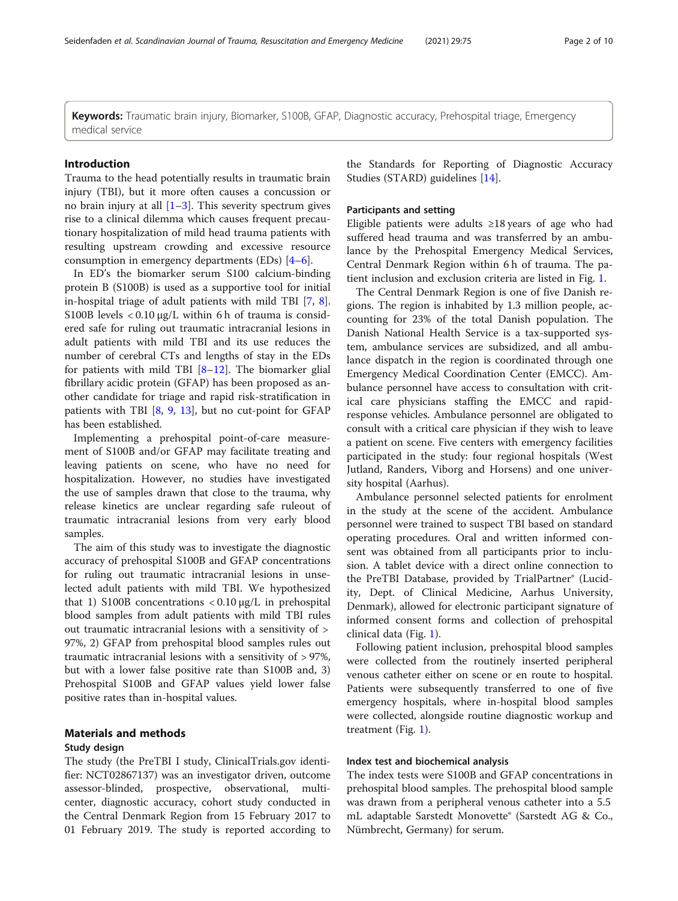Keywords: Traumatic brain injury, Biomarker, S100B, GFAP, Diagnostic accuracy, Prehospital triage, Emergency medical service

#### Introduction

Trauma to the head potentially results in traumatic brain injury (TBI), but it more often causes a concussion or no brain injury at all  $[1-3]$  $[1-3]$  $[1-3]$ . This severity spectrum gives rise to a clinical dilemma which causes frequent precautionary hospitalization of mild head trauma patients with resulting upstream crowding and excessive resource consumption in emergency departments (EDs) [\[4](#page-8-0)–[6\]](#page-8-0).

In ED's the biomarker serum S100 calcium-binding protein B (S100B) is used as a supportive tool for initial in-hospital triage of adult patients with mild TBI [\[7](#page-8-0), [8](#page-9-0)]. S100B levels  $< 0.10 \mu g/L$  within 6 h of trauma is considered safe for ruling out traumatic intracranial lesions in adult patients with mild TBI and its use reduces the number of cerebral CTs and lengths of stay in the EDs for patients with mild TBI  $[8-12]$  $[8-12]$  $[8-12]$  $[8-12]$  $[8-12]$ . The biomarker glial fibrillary acidic protein (GFAP) has been proposed as another candidate for triage and rapid risk-stratification in patients with TBI [[8,](#page-9-0) [9](#page-9-0), [13](#page-9-0)], but no cut-point for GFAP has been established.

Implementing a prehospital point-of-care measurement of S100B and/or GFAP may facilitate treating and leaving patients on scene, who have no need for hospitalization. However, no studies have investigated the use of samples drawn that close to the trauma, why release kinetics are unclear regarding safe ruleout of traumatic intracranial lesions from very early blood samples.

The aim of this study was to investigate the diagnostic accuracy of prehospital S100B and GFAP concentrations for ruling out traumatic intracranial lesions in unselected adult patients with mild TBI. We hypothesized that 1) S100B concentrations  $\langle 0.10 \mu g/L \rangle$  in prehospital blood samples from adult patients with mild TBI rules out traumatic intracranial lesions with a sensitivity of > 97%, 2) GFAP from prehospital blood samples rules out traumatic intracranial lesions with a sensitivity of > 97%, but with a lower false positive rate than S100B and, 3) Prehospital S100B and GFAP values yield lower false positive rates than in-hospital values.

# Materials and methods

### Study design

The study (the PreTBI I study, ClinicalTrials.gov identifier: NCT02867137) was an investigator driven, outcome assessor-blinded, prospective, observational, multicenter, diagnostic accuracy, cohort study conducted in the Central Denmark Region from 15 February 2017 to 01 February 2019. The study is reported according to

the Standards for Reporting of Diagnostic Accuracy Studies (STARD) guidelines [\[14\]](#page-9-0).

## Participants and setting

Eligible patients were adults ≥18 years of age who had suffered head trauma and was transferred by an ambulance by the Prehospital Emergency Medical Services, Central Denmark Region within 6 h of trauma. The patient inclusion and exclusion criteria are listed in Fig. [1.](#page-2-0)

The Central Denmark Region is one of five Danish regions. The region is inhabited by 1.3 million people, accounting for 23% of the total Danish population. The Danish National Health Service is a tax-supported system, ambulance services are subsidized, and all ambulance dispatch in the region is coordinated through one Emergency Medical Coordination Center (EMCC). Ambulance personnel have access to consultation with critical care physicians staffing the EMCC and rapidresponse vehicles. Ambulance personnel are obligated to consult with a critical care physician if they wish to leave a patient on scene. Five centers with emergency facilities participated in the study: four regional hospitals (West Jutland, Randers, Viborg and Horsens) and one university hospital (Aarhus).

Ambulance personnel selected patients for enrolment in the study at the scene of the accident. Ambulance personnel were trained to suspect TBI based on standard operating procedures. Oral and written informed consent was obtained from all participants prior to inclusion. A tablet device with a direct online connection to the PreTBI Database, provided by TrialPartner® (Lucidity, Dept. of Clinical Medicine, Aarhus University, Denmark), allowed for electronic participant signature of informed consent forms and collection of prehospital clinical data (Fig. [1](#page-2-0)).

Following patient inclusion, prehospital blood samples were collected from the routinely inserted peripheral venous catheter either on scene or en route to hospital. Patients were subsequently transferred to one of five emergency hospitals, where in-hospital blood samples were collected, alongside routine diagnostic workup and treatment (Fig. [1](#page-2-0)).

## Index test and biochemical analysis

The index tests were S100B and GFAP concentrations in prehospital blood samples. The prehospital blood sample was drawn from a peripheral venous catheter into a 5.5 mL adaptable Sarstedt Monovette® (Sarstedt AG & Co., Nümbrecht, Germany) for serum.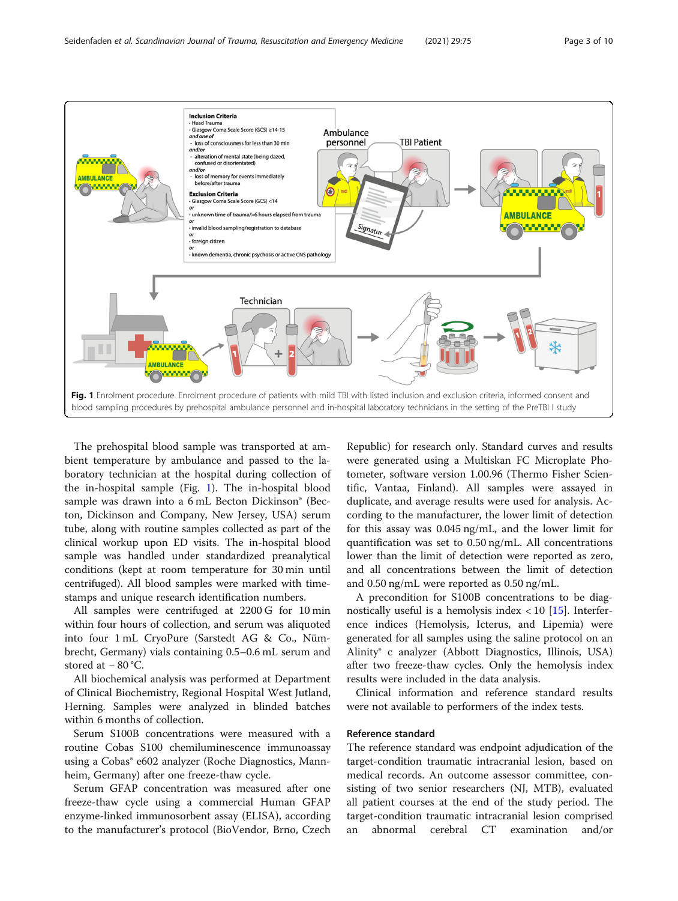

<span id="page-2-0"></span>

The prehospital blood sample was transported at ambient temperature by ambulance and passed to the laboratory technician at the hospital during collection of the in-hospital sample (Fig. 1). The in-hospital blood sample was drawn into a 6 mL Becton Dickinson® (Becton, Dickinson and Company, New Jersey, USA) serum tube, along with routine samples collected as part of the clinical workup upon ED visits. The in-hospital blood sample was handled under standardized preanalytical conditions (kept at room temperature for 30 min until centrifuged). All blood samples were marked with timestamps and unique research identification numbers.

All samples were centrifuged at 2200 G for 10 min within four hours of collection, and serum was aliquoted into four 1 mL CryoPure (Sarstedt AG & Co., Nümbrecht, Germany) vials containing 0.5–0.6 mL serum and stored at − 80 °C.

All biochemical analysis was performed at Department of Clinical Biochemistry, Regional Hospital West Jutland, Herning. Samples were analyzed in blinded batches within 6 months of collection.

Serum S100B concentrations were measured with a routine Cobas S100 chemiluminescence immunoassay using a Cobas® e602 analyzer (Roche Diagnostics, Mannheim, Germany) after one freeze-thaw cycle.

Serum GFAP concentration was measured after one freeze-thaw cycle using a commercial Human GFAP enzyme-linked immunosorbent assay (ELISA), according to the manufacturer's protocol (BioVendor, Brno, Czech Republic) for research only. Standard curves and results were generated using a Multiskan FC Microplate Photometer, software version 1.00.96 (Thermo Fisher Scientific, Vantaa, Finland). All samples were assayed in duplicate, and average results were used for analysis. According to the manufacturer, the lower limit of detection for this assay was 0.045 ng/mL, and the lower limit for quantification was set to 0.50 ng/mL. All concentrations lower than the limit of detection were reported as zero, and all concentrations between the limit of detection and 0.50 ng/mL were reported as 0.50 ng/mL.

A precondition for S100B concentrations to be diagnostically useful is a hemolysis index  $< 10$  [\[15](#page-9-0)]. Interference indices (Hemolysis, Icterus, and Lipemia) were generated for all samples using the saline protocol on an Alinity® c analyzer (Abbott Diagnostics, Illinois, USA) after two freeze-thaw cycles. Only the hemolysis index results were included in the data analysis.

Clinical information and reference standard results were not available to performers of the index tests.

## Reference standard

The reference standard was endpoint adjudication of the target-condition traumatic intracranial lesion, based on medical records. An outcome assessor committee, consisting of two senior researchers (NJ, MTB), evaluated all patient courses at the end of the study period. The target-condition traumatic intracranial lesion comprised an abnormal cerebral CT examination and/or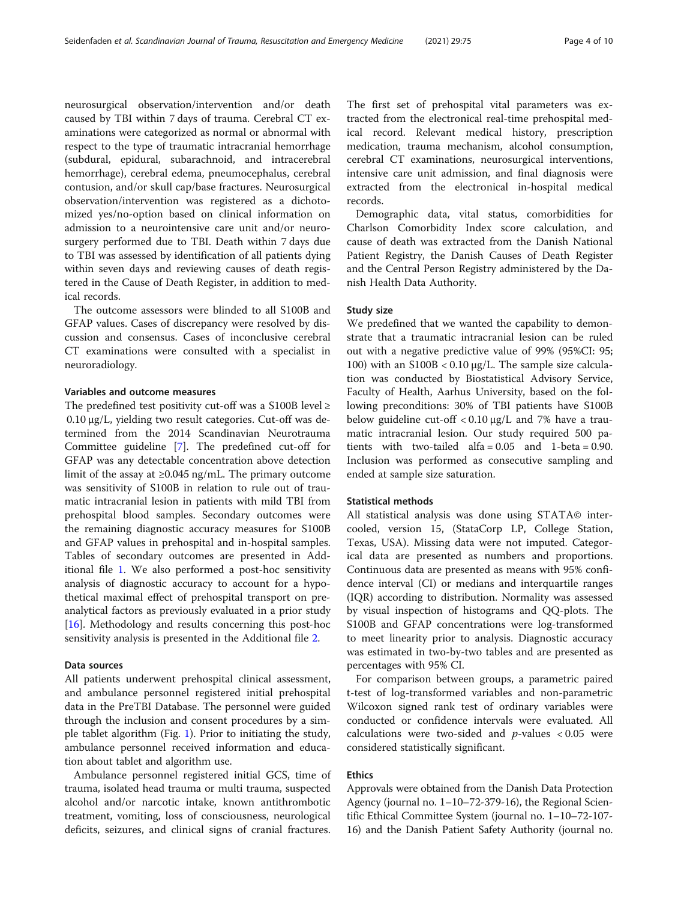neurosurgical observation/intervention and/or death caused by TBI within 7 days of trauma. Cerebral CT examinations were categorized as normal or abnormal with respect to the type of traumatic intracranial hemorrhage (subdural, epidural, subarachnoid, and intracerebral hemorrhage), cerebral edema, pneumocephalus, cerebral contusion, and/or skull cap/base fractures. Neurosurgical observation/intervention was registered as a dichotomized yes/no-option based on clinical information on admission to a neurointensive care unit and/or neurosurgery performed due to TBI. Death within 7 days due to TBI was assessed by identification of all patients dying within seven days and reviewing causes of death registered in the Cause of Death Register, in addition to medical records.

The outcome assessors were blinded to all S100B and GFAP values. Cases of discrepancy were resolved by discussion and consensus. Cases of inconclusive cerebral CT examinations were consulted with a specialist in neuroradiology.

## Variables and outcome measures

The predefined test positivity cut-off was a S100B level  $\ge$ 0.10 μg/L, yielding two result categories. Cut-off was determined from the 2014 Scandinavian Neurotrauma Committee guideline [[7\]](#page-8-0). The predefined cut-off for GFAP was any detectable concentration above detection limit of the assay at ≥0.045 ng/mL. The primary outcome was sensitivity of S100B in relation to rule out of traumatic intracranial lesion in patients with mild TBI from prehospital blood samples. Secondary outcomes were the remaining diagnostic accuracy measures for S100B and GFAP values in prehospital and in-hospital samples. Tables of secondary outcomes are presented in Additional file [1.](#page-8-0) We also performed a post-hoc sensitivity analysis of diagnostic accuracy to account for a hypothetical maximal effect of prehospital transport on preanalytical factors as previously evaluated in a prior study [[16\]](#page-9-0). Methodology and results concerning this post-hoc sensitivity analysis is presented in the Additional file [2](#page-8-0).

#### Data sources

All patients underwent prehospital clinical assessment, and ambulance personnel registered initial prehospital data in the PreTBI Database. The personnel were guided through the inclusion and consent procedures by a simple tablet algorithm (Fig. [1\)](#page-2-0). Prior to initiating the study, ambulance personnel received information and education about tablet and algorithm use.

Ambulance personnel registered initial GCS, time of trauma, isolated head trauma or multi trauma, suspected alcohol and/or narcotic intake, known antithrombotic treatment, vomiting, loss of consciousness, neurological deficits, seizures, and clinical signs of cranial fractures.

The first set of prehospital vital parameters was extracted from the electronical real-time prehospital medical record. Relevant medical history, prescription medication, trauma mechanism, alcohol consumption, cerebral CT examinations, neurosurgical interventions, intensive care unit admission, and final diagnosis were extracted from the electronical in-hospital medical records.

Demographic data, vital status, comorbidities for Charlson Comorbidity Index score calculation, and cause of death was extracted from the Danish National Patient Registry, the Danish Causes of Death Register and the Central Person Registry administered by the Danish Health Data Authority.

## Study size

We predefined that we wanted the capability to demonstrate that a traumatic intracranial lesion can be ruled out with a negative predictive value of 99% (95%CI: 95; 100) with an S100B < 0.10 μg/L. The sample size calculation was conducted by Biostatistical Advisory Service, Faculty of Health, Aarhus University, based on the following preconditions: 30% of TBI patients have S100B below guideline cut-off  $< 0.10 \mu g/L$  and 7% have a traumatic intracranial lesion. Our study required 500 patients with two-tailed alfa =  $0.05$  and 1-beta =  $0.90$ . Inclusion was performed as consecutive sampling and ended at sample size saturation.

## Statistical methods

All statistical analysis was done using STATA© intercooled, version 15, (StataCorp LP, College Station, Texas, USA). Missing data were not imputed. Categorical data are presented as numbers and proportions. Continuous data are presented as means with 95% confidence interval (CI) or medians and interquartile ranges (IQR) according to distribution. Normality was assessed by visual inspection of histograms and QQ-plots. The S100B and GFAP concentrations were log-transformed to meet linearity prior to analysis. Diagnostic accuracy was estimated in two-by-two tables and are presented as percentages with 95% CI.

For comparison between groups, a parametric paired t-test of log-transformed variables and non-parametric Wilcoxon signed rank test of ordinary variables were conducted or confidence intervals were evaluated. All calculations were two-sided and  $p$ -values  $< 0.05$  were considered statistically significant.

# Ethics

Approvals were obtained from the Danish Data Protection Agency (journal no. 1–10–72-379-16), the Regional Scientific Ethical Committee System (journal no. 1–10–72-107- 16) and the Danish Patient Safety Authority (journal no.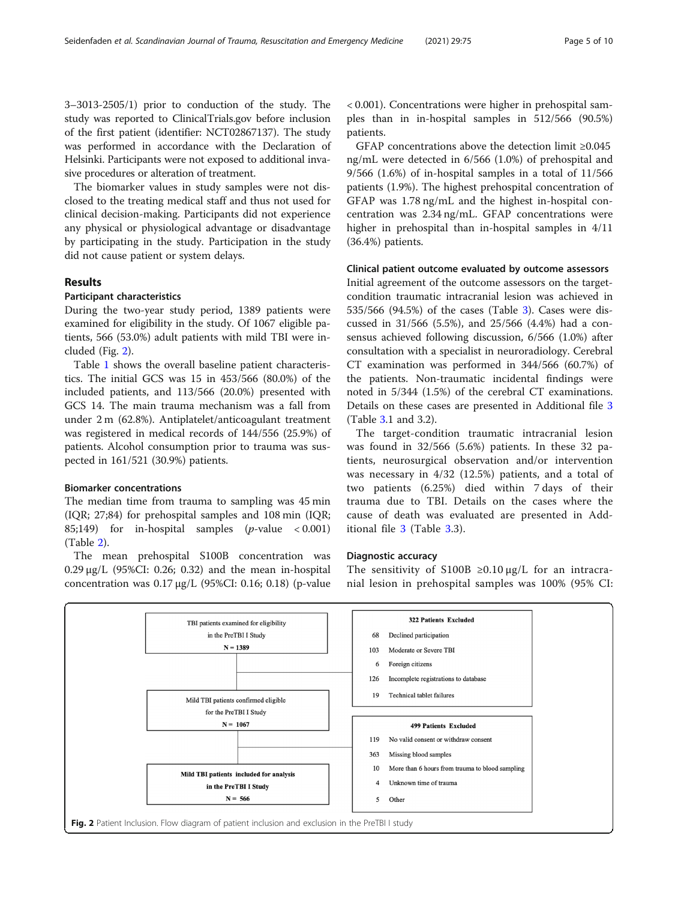3–3013-2505/1) prior to conduction of the study. The study was reported to ClinicalTrials.gov before inclusion of the first patient (identifier: NCT02867137). The study was performed in accordance with the Declaration of Helsinki. Participants were not exposed to additional invasive procedures or alteration of treatment.

The biomarker values in study samples were not disclosed to the treating medical staff and thus not used for clinical decision-making. Participants did not experience any physical or physiological advantage or disadvantage by participating in the study. Participation in the study did not cause patient or system delays.

# Results

## Participant characteristics

During the two-year study period, 1389 patients were examined for eligibility in the study. Of 1067 eligible patients, 566 (53.0%) adult patients with mild TBI were included (Fig. 2).

Table [1](#page-5-0) shows the overall baseline patient characteristics. The initial GCS was 15 in 453/566 (80.0%) of the included patients, and 113/566 (20.0%) presented with GCS 14. The main trauma mechanism was a fall from under 2 m (62.8%). Antiplatelet/anticoagulant treatment was registered in medical records of 144/556 (25.9%) of patients. Alcohol consumption prior to trauma was suspected in 161/521 (30.9%) patients.

# Biomarker concentrations

The median time from trauma to sampling was 45 min (IQR; 27;84) for prehospital samples and 108 min (IQR; 85;149) for in-hospital samples  $(p$ -value < 0.001) (Table [2\)](#page-5-0).

The mean prehospital S100B concentration was 0.29 μg/L (95%CI: 0.26; 0.32) and the mean in-hospital concentration was 0.17 μg/L (95%CI: 0.16; 0.18) (p-value < 0.001). Concentrations were higher in prehospital samples than in in-hospital samples in 512/566 (90.5%) patients.

GFAP concentrations above the detection limit ≥0.045 ng/mL were detected in 6/566 (1.0%) of prehospital and 9/566 (1.6%) of in-hospital samples in a total of 11/566 patients (1.9%). The highest prehospital concentration of GFAP was 1.78 ng/mL and the highest in-hospital concentration was 2.34 ng/mL. GFAP concentrations were higher in prehospital than in-hospital samples in 4/11 (36.4%) patients.

#### Clinical patient outcome evaluated by outcome assessors

Initial agreement of the outcome assessors on the targetcondition traumatic intracranial lesion was achieved in 535/566 (94.5%) of the cases (Table [3](#page-6-0)). Cases were discussed in 31/566 (5.5%), and 25/566 (4.4%) had a consensus achieved following discussion, 6/566 (1.0%) after consultation with a specialist in neuroradiology. Cerebral CT examination was performed in 344/566 (60.7%) of the patients. Non-traumatic incidental findings were noted in 5/344 (1.5%) of the cerebral CT examinations. Details on these cases are presented in Additional file [3](#page-8-0) (Table [3.](#page-6-0)1 and 3.2).

The target-condition traumatic intracranial lesion was found in 32/566 (5.6%) patients. In these 32 patients, neurosurgical observation and/or intervention was necessary in 4/32 (12.5%) patients, and a total of two patients (6.25%) died within 7 days of their trauma due to TBI. Details on the cases where the cause of death was evaluated are presented in Additional file [3](#page-8-0) (Table [3](#page-6-0).3).

## Diagnostic accuracy

The sensitivity of S100B  $\geq$ 0.10  $\mu$ g/L for an intracranial lesion in prehospital samples was 100% (95% CI:

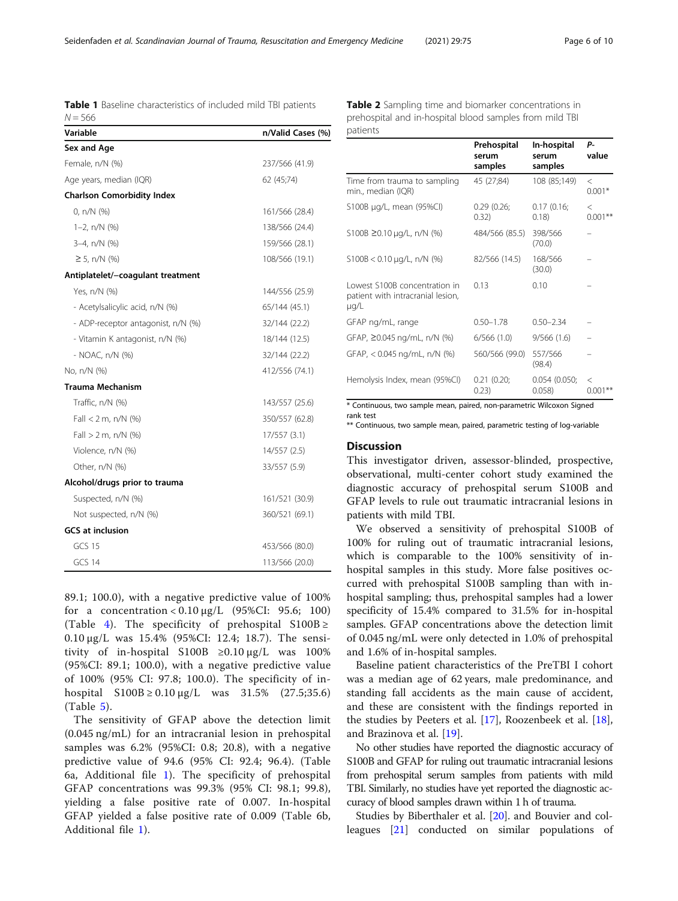<span id="page-5-0"></span>Table 1 Baseline characteristics of included mild TBI patients  $N = 566$ 

Table 2 Sampling time and biomarker concentrations in prehospital and in-hospital blood samples from mild TBI patients

| Variable                           | n/Valid Cases (%) |
|------------------------------------|-------------------|
| Sex and Age                        |                   |
| Female, n/N (%)                    | 237/566 (41.9)    |
| Age years, median (IQR)            | 62 (45;74)        |
| <b>Charlson Comorbidity Index</b>  |                   |
| 0, $n/N$ (%)                       | 161/566 (28.4)    |
| $1-2$ , n/N $(%)$                  | 138/566 (24.4)    |
| 3-4, n/N (%)                       | 159/566 (28.1)    |
| $\geq$ 5, n/N (%)                  | 108/566 (19.1)    |
| Antiplatelet/-coagulant treatment  |                   |
| Yes, n/N (%)                       | 144/556 (25.9)    |
| - Acetylsalicylic acid, n/N (%)    | 65/144 (45.1)     |
| - ADP-receptor antagonist, n/N (%) | 32/144 (22.2)     |
| - Vitamin K antagonist, n/N (%)    | 18/144 (12.5)     |
| - NOAC, n/N (%)                    | 32/144 (22.2)     |
| No, n/N (%)                        | 412/556 (74.1)    |
| Trauma Mechanism                   |                   |
| Traffic, n/N (%)                   | 143/557 (25.6)    |
| Fall $<$ 2 m, n/N (%)              | 350/557 (62.8)    |
| Fall $> 2$ m, n/N (%)              | 17/557 (3.1)      |
| Violence, n/N (%)                  | 14/557 (2.5)      |
| Other, n/N (%)                     | 33/557 (5.9)      |
| Alcohol/drugs prior to trauma      |                   |
| Suspected, n/N (%)                 | 161/521 (30.9)    |
| Not suspected, n/N (%)             | 360/521 (69.1)    |
| <b>GCS at inclusion</b>            |                   |
| <b>GCS 15</b>                      | 453/566 (80.0)    |
| GCS 14                             | 113/566 (20.0)    |

89.1; 100.0), with a negative predictive value of 100% for a concentration <  $0.10 \mu g/L$  (95%CI: 95.6; 100) (Table [4\)](#page-6-0). The specificity of prehospital S100B  $\ge$ 0.10 μg/L was 15.4% (95%CI: 12.4; 18.7). The sensitivity of in-hospital S100B  $\geq 0.10 \mu g/L$  was 100% (95%CI: 89.1; 100.0), with a negative predictive value of 100% (95% CI: 97.8; 100.0). The specificity of inhospital  $S100B \ge 0.10 \mu g/L$  was  $31.5\%$  (27.5;35.6) (Table [5](#page-6-0)).

The sensitivity of GFAP above the detection limit (0.045 ng/mL) for an intracranial lesion in prehospital samples was 6.2% (95%CI: 0.8; 20.8), with a negative predictive value of 94.6 (95% CI: 92.4; 96.4). (Table 6a, Additional file [1](#page-8-0)). The specificity of prehospital GFAP concentrations was 99.3% (95% CI: 98.1; 99.8), yielding a false positive rate of 0.007. In-hospital GFAP yielded a false positive rate of 0.009 (Table 6b, Additional file [1](#page-8-0)).

|                                                                                 | Prehospital<br>serum<br>samples | In-hospital<br>serum<br>samples | Р-<br>value          |
|---------------------------------------------------------------------------------|---------------------------------|---------------------------------|----------------------|
| Time from trauma to sampling<br>min., median (IQR)                              | 45 (27;84)                      | 108 (85;149)                    | $\,<\,$<br>$0.001*$  |
| S100B µg/L, mean (95%Cl)                                                        | 0.29(0.26)<br>0.32)             | 0.17(0.16)<br>0.18)             | $\,<\,$<br>$0.001**$ |
| S100B ≥0.10 µg/L, n/N (%)                                                       | 484/566 (85.5)                  | 398/566<br>(70.0)               |                      |
| $5100B < 0.10 \mu q/L$ , n/N (%)                                                | 82/566 (14.5)                   | 168/566<br>(30.0)               |                      |
| Lowest S100B concentration in<br>patient with intracranial lesion,<br>$\mu q/L$ | 0.13                            | 0.10                            |                      |
| GFAP ng/mL, range                                                               | $0.50 - 1.78$                   | $0.50 - 2.34$                   |                      |
| GFAP, ≥0.045 ng/mL, n/N (%)                                                     | 6/566(1.0)                      | 9/566(1.6)                      |                      |
| GFAP, < 0.045 ng/mL, n/N (%)                                                    | 560/566 (99.0)                  | 557/566<br>(98.4)               |                      |
| Hemolysis Index, mean (95%CI)                                                   | 0.21(0.20)<br>0.23)             | 0.054(0.050;<br>0.058           | $\rm <$<br>0.001     |

\* Continuous, two sample mean, paired, non-parametric Wilcoxon Signed rank test

\*\* Continuous, two sample mean, paired, parametric testing of log-variable

## **Discussion**

This investigator driven, assessor-blinded, prospective, observational, multi-center cohort study examined the diagnostic accuracy of prehospital serum S100B and GFAP levels to rule out traumatic intracranial lesions in patients with mild TBI.

We observed a sensitivity of prehospital S100B of 100% for ruling out of traumatic intracranial lesions, which is comparable to the 100% sensitivity of inhospital samples in this study. More false positives occurred with prehospital S100B sampling than with inhospital sampling; thus, prehospital samples had a lower specificity of 15.4% compared to 31.5% for in-hospital samples. GFAP concentrations above the detection limit of 0.045 ng/mL were only detected in 1.0% of prehospital and 1.6% of in-hospital samples.

Baseline patient characteristics of the PreTBI I cohort was a median age of 62 years, male predominance, and standing fall accidents as the main cause of accident, and these are consistent with the findings reported in the studies by Peeters et al. [\[17](#page-9-0)], Roozenbeek et al. [\[18](#page-9-0)], and Brazinova et al. [[19](#page-9-0)].

No other studies have reported the diagnostic accuracy of S100B and GFAP for ruling out traumatic intracranial lesions from prehospital serum samples from patients with mild TBI. Similarly, no studies have yet reported the diagnostic accuracy of blood samples drawn within 1 h of trauma.

Studies by Biberthaler et al. [\[20\]](#page-9-0). and Bouvier and colleagues [[21\]](#page-9-0) conducted on similar populations of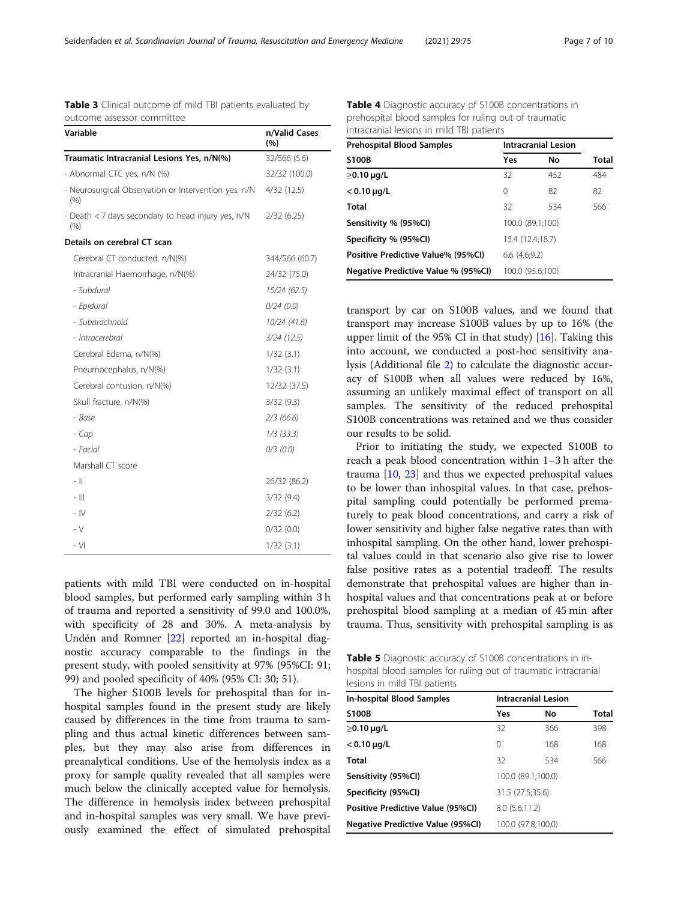| Variable                                                    | n/Valid Cases<br>(%) |
|-------------------------------------------------------------|----------------------|
| Traumatic Intracranial Lesions Yes, n/N(%)                  | 32/566 (5.6)         |
| - Abnormal CTC yes, n/N (%)                                 | 32/32 (100.0)        |
| - Neurosurgical Observation or Intervention yes, n/N<br>(%) | 4/32(12.5)           |
| - Death < 7 days secondary to head injury yes, n/N<br>(% )  | 2/32(6.25)           |
| Details on cerebral CT scan                                 |                      |
| Cerebral CT conducted, n/N(%)                               | 344/566 (60.7)       |
| Intracranial Haemorrhage, n/N(%)                            | 24/32 (75.0)         |
| - Subdural                                                  | 15/24 (62.5)         |
| - Epidural                                                  | 0/24(0.0)            |
| - Subarachnoid                                              | 10/24 (41.6)         |
| - Intracerebral                                             | 3/24(12.5)           |
| Cerebral Edema, n/N(%)                                      | 1/32(3.1)            |
| Pneumocephalus, n/N(%)                                      | 1/32(3.1)            |
| Cerebral contusion, n/N(%)                                  | 12/32 (37.5)         |
| Skull fracture, n/N(%)                                      | 3/32(9.3)            |
| - Base                                                      | 2/3(66.6)            |
| - Cap                                                       | $1/3$ (33.3)         |
| - Facial                                                    | $0/3$ (0.0)          |
| Marshall CT score                                           |                      |
| - 11                                                        | 26/32 (86.2)         |
| - 111                                                       | 3/32(9.4)            |
| $-1V$                                                       | 2/32(6.2)            |
| $-V$                                                        | 0/32(0.0)            |
| - VI                                                        | 1/32(3.1)            |

<span id="page-6-0"></span>Table 3 Clinical outcome of mild TBI patients evaluated by

outcome assessor committee

patients with mild TBI were conducted on in-hospital blood samples, but performed early sampling within 3 h of trauma and reported a sensitivity of 99.0 and 100.0%, with specificity of 28 and 30%. A meta-analysis by Undén and Romner [[22](#page-9-0)] reported an in-hospital diagnostic accuracy comparable to the findings in the present study, with pooled sensitivity at 97% (95%CI: 91; 99) and pooled specificity of 40% (95% CI: 30; 51).

The higher S100B levels for prehospital than for inhospital samples found in the present study are likely caused by differences in the time from trauma to sampling and thus actual kinetic differences between samples, but they may also arise from differences in preanalytical conditions. Use of the hemolysis index as a proxy for sample quality revealed that all samples were much below the clinically accepted value for hemolysis. The difference in hemolysis index between prehospital and in-hospital samples was very small. We have previously examined the effect of simulated prehospital

Table 4 Diagnostic accuracy of S100B concentrations in prehospital blood samples for ruling out of traumatic intracranial lesions in mild TBI patients

| <b>Prehospital Blood Samples</b>    | <b>Intracranial Lesion</b> |     |              |
|-------------------------------------|----------------------------|-----|--------------|
| <b>S100B</b>                        | Yes                        | No  | <b>Total</b> |
| $\geq$ 0.10 µg/L                    | 32                         | 452 | 484          |
| $< 0.10 \mu q/L$                    | $\Omega$                   | 82  | 82           |
| Total                               | 32                         | 534 | 566          |
| Sensitivity % (95%CI)               | 100.0 (89.1:100)           |     |              |
| Specificity % (95%CI)               | 15.4 (12.4:18.7)           |     |              |
| Positive Predictive Value% (95%CI)  | 6.6(4.6.9.2)               |     |              |
| Negative Predictive Value % (95%CI) | 100.0 (95.6:100)           |     |              |

transport by car on S100B values, and we found that transport may increase S100B values by up to 16% (the upper limit of the 95% CI in that study) [\[16\]](#page-9-0). Taking this into account, we conducted a post-hoc sensitivity analysis (Additional file [2](#page-8-0)) to calculate the diagnostic accuracy of S100B when all values were reduced by 16%, assuming an unlikely maximal effect of transport on all samples. The sensitivity of the reduced prehospital S100B concentrations was retained and we thus consider our results to be solid.

Prior to initiating the study, we expected S100B to reach a peak blood concentration within 1–3 h after the trauma [\[10](#page-9-0), [23](#page-9-0)] and thus we expected prehospital values to be lower than inhospital values. In that case, prehospital sampling could potentially be performed prematurely to peak blood concentrations, and carry a risk of lower sensitivity and higher false negative rates than with inhospital sampling. On the other hand, lower prehospital values could in that scenario also give rise to lower false positive rates as a potential tradeoff. The results demonstrate that prehospital values are higher than inhospital values and that concentrations peak at or before prehospital blood sampling at a median of 45 min after trauma. Thus, sensitivity with prehospital sampling is as

Table 5 Diagnostic accuracy of S100B concentrations in inhospital blood samples for ruling out of traumatic intracranial lesions in mild TBI patients

| In-hospital Blood Samples                | <b>Intracranial Lesion</b> |                    |       |
|------------------------------------------|----------------------------|--------------------|-------|
| <b>S100B</b>                             | Yes                        | No                 | Total |
| $\geq$ 0.10 µg/L                         | 32                         | 366                | 398   |
| $< 0.10 \,\mu g/L$                       | 0                          | 168                | 168   |
| Total                                    | 32                         | 534                | 566   |
| Sensitivity (95%Cl)                      | 100.0 (89.1;100.0)         |                    |       |
| Specificity (95%Cl)                      | 31.5 (27.5;35.6)           |                    |       |
| Positive Predictive Value (95%CI)        | 8.0(5.6;11.2)              |                    |       |
| <b>Negative Predictive Value (95%CI)</b> |                            | 100.0 (97.8;100.0) |       |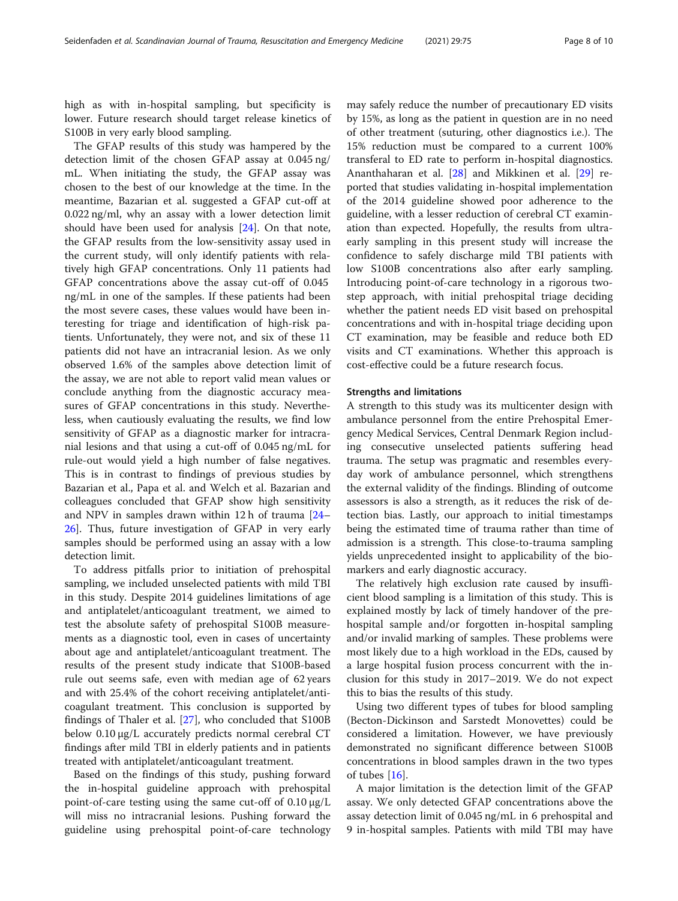high as with in-hospital sampling, but specificity is lower. Future research should target release kinetics of S100B in very early blood sampling.

The GFAP results of this study was hampered by the detection limit of the chosen GFAP assay at 0.045 ng/ mL. When initiating the study, the GFAP assay was chosen to the best of our knowledge at the time. In the meantime, Bazarian et al. suggested a GFAP cut-off at 0.022 ng/ml, why an assay with a lower detection limit should have been used for analysis [[24\]](#page-9-0). On that note, the GFAP results from the low-sensitivity assay used in the current study, will only identify patients with relatively high GFAP concentrations. Only 11 patients had GFAP concentrations above the assay cut-off of 0.045 ng/mL in one of the samples. If these patients had been the most severe cases, these values would have been interesting for triage and identification of high-risk patients. Unfortunately, they were not, and six of these 11 patients did not have an intracranial lesion. As we only observed 1.6% of the samples above detection limit of the assay, we are not able to report valid mean values or conclude anything from the diagnostic accuracy measures of GFAP concentrations in this study. Nevertheless, when cautiously evaluating the results, we find low sensitivity of GFAP as a diagnostic marker for intracranial lesions and that using a cut-off of 0.045 ng/mL for rule-out would yield a high number of false negatives. This is in contrast to findings of previous studies by Bazarian et al., Papa et al. and Welch et al. Bazarian and colleagues concluded that GFAP show high sensitivity and NPV in samples drawn within 12 h of trauma [[24](#page-9-0)– [26\]](#page-9-0). Thus, future investigation of GFAP in very early samples should be performed using an assay with a low detection limit.

To address pitfalls prior to initiation of prehospital sampling, we included unselected patients with mild TBI in this study. Despite 2014 guidelines limitations of age and antiplatelet/anticoagulant treatment, we aimed to test the absolute safety of prehospital S100B measurements as a diagnostic tool, even in cases of uncertainty about age and antiplatelet/anticoagulant treatment. The results of the present study indicate that S100B-based rule out seems safe, even with median age of 62 years and with 25.4% of the cohort receiving antiplatelet/anticoagulant treatment. This conclusion is supported by findings of Thaler et al. [[27\]](#page-9-0), who concluded that S100B below 0.10 μg/L accurately predicts normal cerebral CT findings after mild TBI in elderly patients and in patients treated with antiplatelet/anticoagulant treatment.

Based on the findings of this study, pushing forward the in-hospital guideline approach with prehospital point-of-care testing using the same cut-off of 0.10 μg/L will miss no intracranial lesions. Pushing forward the guideline using prehospital point-of-care technology

may safely reduce the number of precautionary ED visits by 15%, as long as the patient in question are in no need of other treatment (suturing, other diagnostics i.e.). The 15% reduction must be compared to a current 100% transferal to ED rate to perform in-hospital diagnostics. Ananthaharan et al. [\[28](#page-9-0)] and Mikkinen et al. [\[29\]](#page-9-0) reported that studies validating in-hospital implementation of the 2014 guideline showed poor adherence to the guideline, with a lesser reduction of cerebral CT examination than expected. Hopefully, the results from ultraearly sampling in this present study will increase the confidence to safely discharge mild TBI patients with low S100B concentrations also after early sampling. Introducing point-of-care technology in a rigorous twostep approach, with initial prehospital triage deciding whether the patient needs ED visit based on prehospital concentrations and with in-hospital triage deciding upon CT examination, may be feasible and reduce both ED visits and CT examinations. Whether this approach is cost-effective could be a future research focus.

### Strengths and limitations

A strength to this study was its multicenter design with ambulance personnel from the entire Prehospital Emergency Medical Services, Central Denmark Region including consecutive unselected patients suffering head trauma. The setup was pragmatic and resembles everyday work of ambulance personnel, which strengthens the external validity of the findings. Blinding of outcome assessors is also a strength, as it reduces the risk of detection bias. Lastly, our approach to initial timestamps being the estimated time of trauma rather than time of admission is a strength. This close-to-trauma sampling yields unprecedented insight to applicability of the biomarkers and early diagnostic accuracy.

The relatively high exclusion rate caused by insufficient blood sampling is a limitation of this study. This is explained mostly by lack of timely handover of the prehospital sample and/or forgotten in-hospital sampling and/or invalid marking of samples. These problems were most likely due to a high workload in the EDs, caused by a large hospital fusion process concurrent with the inclusion for this study in 2017–2019. We do not expect this to bias the results of this study.

Using two different types of tubes for blood sampling (Becton-Dickinson and Sarstedt Monovettes) could be considered a limitation. However, we have previously demonstrated no significant difference between S100B concentrations in blood samples drawn in the two types of tubes  $[16]$  $[16]$  $[16]$ .

A major limitation is the detection limit of the GFAP assay. We only detected GFAP concentrations above the assay detection limit of 0.045 ng/mL in 6 prehospital and 9 in-hospital samples. Patients with mild TBI may have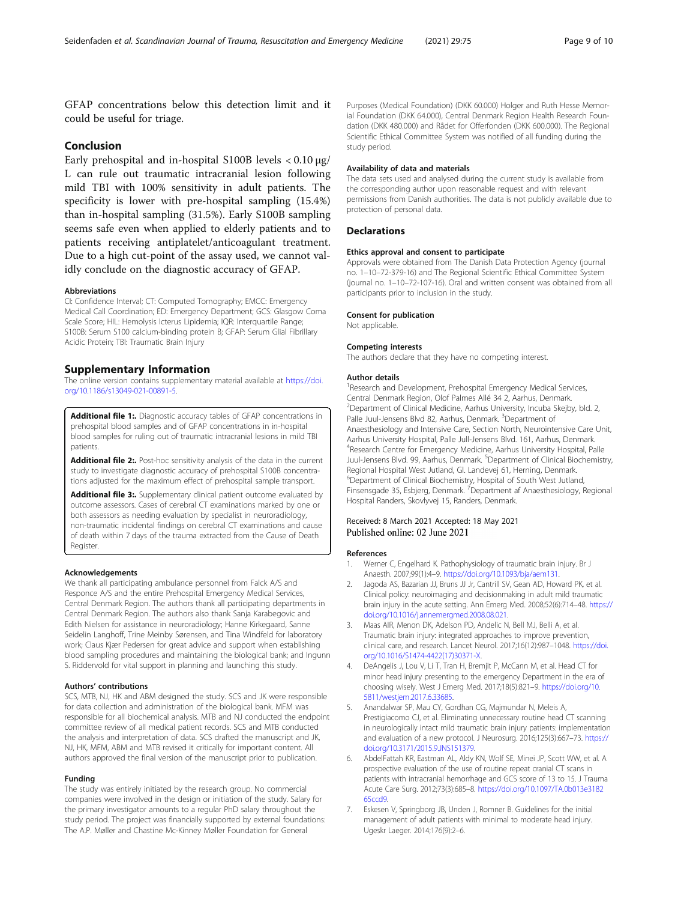<span id="page-8-0"></span>GFAP concentrations below this detection limit and it could be useful for triage.

## Conclusion

Early prehospital and in-hospital S100B levels < 0.10 μg/ L can rule out traumatic intracranial lesion following mild TBI with 100% sensitivity in adult patients. The specificity is lower with pre-hospital sampling (15.4%) than in-hospital sampling (31.5%). Early S100B sampling seems safe even when applied to elderly patients and to patients receiving antiplatelet/anticoagulant treatment. Due to a high cut-point of the assay used, we cannot validly conclude on the diagnostic accuracy of GFAP.

#### Abbreviations

CI: Confidence Interval; CT: Computed Tomography; EMCC: Emergency Medical Call Coordination; ED: Emergency Department; GCS: Glasgow Coma Scale Score; HIL: Hemolysis Icterus Lipidemia; IQR: Interquartile Range; S100B: Serum S100 calcium-binding protein B; GFAP: Serum Glial Fibrillary Acidic Protein; TBI: Traumatic Brain Injury

## Supplementary Information

The online version contains supplementary material available at [https://doi.](https://doi.org/10.1186/s13049-021-00891-5) [org/10.1186/s13049-021-00891-5.](https://doi.org/10.1186/s13049-021-00891-5)

Additional file 1:. Diagnostic accuracy tables of GFAP concentrations in prehospital blood samples and of GFAP concentrations in in-hospital blood samples for ruling out of traumatic intracranial lesions in mild TBI patients.

Additional file 2:. Post-hoc sensitivity analysis of the data in the current study to investigate diagnostic accuracy of prehospital S100B concentrations adjusted for the maximum effect of prehospital sample transport.

Additional file 3:. Supplementary clinical patient outcome evaluated by outcome assessors. Cases of cerebral CT examinations marked by one or both assessors as needing evaluation by specialist in neuroradiology, non-traumatic incidental findings on cerebral CT examinations and cause of death within 7 days of the trauma extracted from the Cause of Death Register.

#### Acknowledgements

We thank all participating ambulance personnel from Falck A/S and Responce A/S and the entire Prehospital Emergency Medical Services, Central Denmark Region. The authors thank all participating departments in Central Denmark Region. The authors also thank Sanja Karabegovic and Edith Nielsen for assistance in neuroradiology; Hanne Kirkegaard, Sanne Seidelin Langhoff, Trine Meinby Sørensen, and Tina Windfeld for laboratory work; Claus Kjær Pedersen for great advice and support when establishing blood sampling procedures and maintaining the biological bank; and Ingunn S. Riddervold for vital support in planning and launching this study.

#### Authors' contributions

SCS, MTB, NJ, HK and ABM designed the study. SCS and JK were responsible for data collection and administration of the biological bank. MFM was responsible for all biochemical analysis. MTB and NJ conducted the endpoint committee review of all medical patient records. SCS and MTB conducted the analysis and interpretation of data. SCS drafted the manuscript and JK, NJ, HK, MFM, ABM and MTB revised it critically for important content. All authors approved the final version of the manuscript prior to publication.

#### Funding

The study was entirely initiated by the research group. No commercial companies were involved in the design or initiation of the study. Salary for the primary investigator amounts to a regular PhD salary throughout the study period. The project was financially supported by external foundations: The A.P. Møller and Chastine Mc-Kinney Møller Foundation for General

Purposes (Medical Foundation) (DKK 60.000) Holger and Ruth Hesse Memorial Foundation (DKK 64.000), Central Denmark Region Health Research Foundation (DKK 480.000) and Rådet for Offerfonden (DKK 600.000). The Regional Scientific Ethical Committee System was notified of all funding during the study period.

#### Availability of data and materials

The data sets used and analysed during the current study is available from the corresponding author upon reasonable request and with relevant permissions from Danish authorities. The data is not publicly available due to protection of personal data.

#### **Declarations**

#### Ethics approval and consent to participate

Approvals were obtained from The Danish Data Protection Agency (journal no. 1–10–72-379-16) and The Regional Scientific Ethical Committee System (journal no. 1–10–72-107-16). Oral and written consent was obtained from all participants prior to inclusion in the study.

#### Consent for publication

Not applicable.

#### Competing interests

The authors declare that they have no competing interest.

#### Author details

<sup>1</sup> Research and Development, Prehospital Emergency Medical Services, Central Denmark Region, Olof Palmes Allé 34 2, Aarhus, Denmark. <sup>2</sup>Department of Clinical Medicine, Aarhus University, Incuba Skejby, bld. 2, Palle Juul-Jensens Blvd 82, Aarhus, Denmark. <sup>3</sup>Department of Anaesthesiology and Intensive Care, Section North, Neurointensive Care Unit, Aarhus University Hospital, Palle Jull-Jensens Blvd. 161, Aarhus, Denmark. 4 Research Centre for Emergency Medicine, Aarhus University Hospital, Palle Juul-Jensens Blvd. 99, Aarhus, Denmark. <sup>5</sup>Department of Clinical Biochemistry Regional Hospital West Jutland, Gl. Landevej 61, Herning, Denmark. 6 Department of Clinical Biochemistry, Hospital of South West Jutland, Finsensgade 35, Esbjerg, Denmark. <sup>7</sup>Department af Anaesthesiology, Regional Hospital Randers, Skovlyvej 15, Randers, Denmark.

#### Received: 8 March 2021 Accepted: 18 May 2021 Published online: 02 June 2021

#### References

- 1. Werner C, Engelhard K. Pathophysiology of traumatic brain injury. Br J Anaesth. 2007;99(1):4–9. [https://doi.org/10.1093/bja/aem131.](https://doi.org/10.1093/bja/aem131)
- 2. Jagoda AS, Bazarian JJ, Bruns JJ Jr, Cantrill SV, Gean AD, Howard PK, et al. Clinical policy: neuroimaging and decisionmaking in adult mild traumatic brain injury in the acute setting. Ann Emerg Med. 2008;52(6):714–48. [https://](https://doi.org/10.1016/j.annemergmed.2008.08.021) [doi.org/10.1016/j.annemergmed.2008.08.021.](https://doi.org/10.1016/j.annemergmed.2008.08.021)
- 3. Maas AIR, Menon DK, Adelson PD, Andelic N, Bell MJ, Belli A, et al. Traumatic brain injury: integrated approaches to improve prevention, clinical care, and research. Lancet Neurol. 2017;16(12):987–1048. [https://doi.](https://doi.org/10.1016/S1474-4422(17)30371-X) [org/10.1016/S1474-4422\(17\)30371-X](https://doi.org/10.1016/S1474-4422(17)30371-X).
- 4. DeAngelis J, Lou V, Li T, Tran H, Bremjit P, McCann M, et al. Head CT for minor head injury presenting to the emergency Department in the era of choosing wisely. West J Emerg Med. 2017;18(5):821–9. [https://doi.org/10.](https://doi.org/10.5811/westjem.2017.6.33685) [5811/westjem.2017.6.33685](https://doi.org/10.5811/westjem.2017.6.33685).
- 5. Anandalwar SP, Mau CY, Gordhan CG, Majmundar N, Meleis A, Prestigiacomo CJ, et al. Eliminating unnecessary routine head CT scanning in neurologically intact mild traumatic brain injury patients: implementation and evaluation of a new protocol. J Neurosurg. 2016;125(3):667–73. [https://](https://doi.org/10.3171/2015.9.JNS151379) [doi.org/10.3171/2015.9.JNS151379](https://doi.org/10.3171/2015.9.JNS151379).
- 6. AbdelFattah KR, Eastman AL, Aldy KN, Wolf SE, Minei JP, Scott WW, et al. A prospective evaluation of the use of routine repeat cranial CT scans in patients with intracranial hemorrhage and GCS score of 13 to 15. J Trauma Acute Care Surg. 2012;73(3):685–8. [https://doi.org/10.1097/TA.0b013e3182](https://doi.org/10.1097/TA.0b013e318265ccd9) [65ccd9](https://doi.org/10.1097/TA.0b013e318265ccd9).
- 7. Eskesen V, Springborg JB, Unden J, Romner B. Guidelines for the initial management of adult patients with minimal to moderate head injury. Ugeskr Laeger. 2014;176(9):2–6.